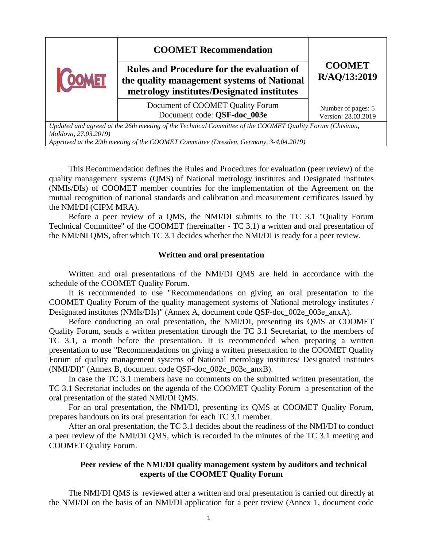|                                                                                                         | <b>COOMET Recommendation</b><br><b>Rules and Procedure for the evaluation of</b><br>the quality management systems of National<br>metrology institutes/Designated institutes | <b>COOMET</b><br>R/AQ/13:2019             |
|---------------------------------------------------------------------------------------------------------|------------------------------------------------------------------------------------------------------------------------------------------------------------------------------|-------------------------------------------|
|                                                                                                         | Document of COOMET Quality Forum<br>Document code: OSF-doc 003e                                                                                                              | Number of pages: 5<br>Version: 28.03.2019 |
| Undated and gareed at the 26th meeting of the Technical Committee of the COOMET Quality Forum (Chisingu |                                                                                                                                                                              |                                           |

*Updated and agreed at the 26th meeting of the Technical Committee of the COOMET Quality Forum (Chisinau, Moldova, 27.03.2019)*

*Approved at the 29th meeting of the COOMET Committee (Dresden, Germany, 3-4.04.2019)*

This Recommendation defines the Rules and Procedures for evaluation (peer review) of the quality management systems (QMS) of National metrology institutes and Designated institutes (NMIs/DIs) of COOMET member countries for the implementation of the Agreement on the mutual recognition of national standards and calibration and measurement certificates issued by the NMI/DI (CIPM MRA).

Before a peer review of a QMS, the NMI/DI submits to the TC 3.1 "Quality Forum Technical Committee" of the COOMET (hereinafter - TC 3.1) a written and oral presentation of the NMI/NI QMS, after which TC 3.1 decides whether the NMI/DI is ready for a peer review.

## **Written and oral presentation**

Written and oral presentations of the NMI/DI QMS are held in accordance with the schedule of the COOMET Quality Forum.

It is recommended to use "Recommendations on giving an oral presentation to the COOMET Quality Forum of the quality management systems of National metrology institutes / Designated institutes (NMIs/DIs)" (Annex A, document code QSF-doc\_002е\_003е\_anxA).

Before conducting an oral presentation, the NMI/DI, presenting its QMS at COOMET Quality Forum, sends a written presentation through the TC 3.1 Secretariat, to the members of TC 3.1, a month before the presentation. It is recommended when preparing a written presentation to use "Recommendations on giving a written presentation to the COOMET Quality Forum of quality management systems of National metrology institutes/ Designated institutes (NMI/DI)" (Annex B, document code QSF-doc\_002е\_003е\_anxВ).

In case the TC 3.1 members have no comments on the submitted written presentation, the TC 3.1 Secretariat includes on the agenda of the COOMET Quality Forum a presentation of the oral presentation of the stated NMI/DI QMS.

For an oral presentation, the NMI/DI, presenting its QMS at COOMET Quality Forum, prepares handouts on its oral presentation for each TC 3.1 member.

After an oral presentation, the TС 3.1 decides about the readiness of the NMI/DI to conduct a peer review of the NMI/DI QMS, which is recorded in the minutes of the TC 3.1 meeting and COOMET Quality Forum.

## **Peer review of the NMI/DI quality management system by auditors and technical experts of the COOMET Quality Forum**

The NMI/DI QMS is reviewed after a written and oral presentation is carried out directly at the NMI/DI on the basis of an NMI/DI application for a peer review (Annex 1, document code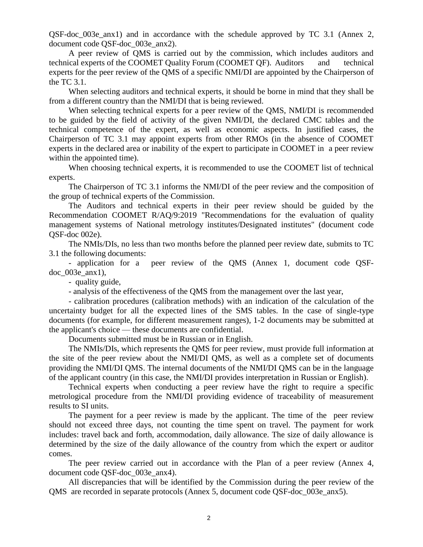QSF-doc\_003e\_anx1) and in accordance with the schedule approved by TC 3.1 (Annex 2, document code QSF-doc\_003e\_anx2).

A peer review of QMS is carried out by the commission, which includes auditors and technical experts of the COOMET Quality Forum (COOMET QF). Auditors and technical experts for the peer review of the QMS of a specific NMI/DI are appointed by the Chairperson of the TC 3.1.

When selecting auditors and technical experts, it should be borne in mind that they shall be from a different country than the NMI/DI that is being reviewed.

When selecting technical experts for a peer review of the QMS, NMI/DI is recommended to be guided by the field of activity of the given NMI/DI, the declared CMC tables and the technical competence of the expert, as well as economic aspects. In justified cases, the Chairperson of TC 3.1 may appoint experts from other RMOs (in the absence of COOMET experts in the declared area or inability of the expert to participate in COOMET in a peer review within the appointed time).

When choosing technical experts, it is recommended to use the COOMET list of technical experts.

The Chairperson of TC 3.1 informs the NMI/DI of the peer review and the composition of the group of technical experts of the Commission.

The Auditors and technical experts in their peer review should be guided by the Recommendation COOMET R/AQ/9:2019 "Recommendations for the evaluation of quality management systems of National metrology institutes/Designated institutes" (document code QSF-doc 002e).

The NMIs/DIs, no less than two months before the planned peer review date, submits to TC 3.1 the following documents:

- application for a peer review of the QMS (Annex 1, document code QSFdoc\_003e\_anx1),

- quality guide,

- analysis of the effectiveness of the QMS from the management over the last year,

- calibration procedures (calibration methods) with an indication of the calculation of the uncertainty budget for all the expected lines of the SMS tables. In the case of single-type documents (for example, for different measurement ranges), 1-2 documents may be submitted at the applicant's choice — these documents are confidential.

Documents submitted must be in Russian or in English.

The NMIs/DIs, which represents the QMS for peer review, must provide full information at the site of the peer review about the NMI/DI QMS, as well as a complete set of documents providing the NMI/DI QMS. The internal documents of the NMI/DI QMS can be in the language of the applicant country (in this case, the NMI/DI provides interpretation in Russian or English).

Technical experts when conducting a peer review have the right to require a specific metrological procedure from the NMI/DI providing evidence of traceability of measurement results to SI units.

The payment for a peer review is made by the applicant. The time of the peer review should not exceed three days, not counting the time spent on travel. The payment for work includes: travel back and forth, accommodation, daily allowance. The size of daily allowance is determined by the size of the daily allowance of the country from which the expert or auditor comes.

The peer review carried out in accordance with the Plan of a peer review (Annex 4, document code QSF-doc\_003e\_anx4).

All discrepancies that will be identified by the Commission during the peer review of the QMS are recorded in separate protocols (Annex 5, document code QSF-doc\_003e\_anx5).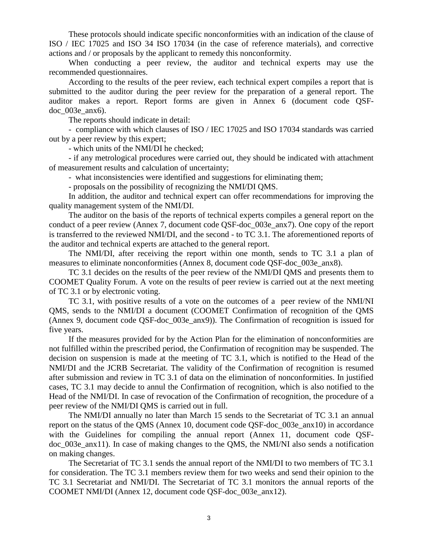These protocols should indicate specific nonconformities with an indication of the clause of ISO / IEC 17025 and ISO 34 ISO 17034 (in the case of reference materials), and corrective actions and / or proposals by the applicant to remedy this nonconformity.

When conducting a peer review, the auditor and technical experts may use the recommended questionnaires.

According to the results of the peer review, each technical expert compiles a report that is submitted to the auditor during the peer review for the preparation of a general report. The auditor makes a report. Report forms are given in Annex 6 (document code QSFdoc\_003e\_anx6).

The reports should indicate in detail:

- compliance with which clauses of ISO / IEC 17025 and ISO 17034 standards was carried out by a peer review by this expert;

- which units of the NMI/DI he checked;

- if any metrological procedures were carried out, they should be indicated with attachment of measurement results and calculation of uncertainty;

- what inconsistencies were identified and suggestions for eliminating them;

- proposals on the possibility of recognizing the NMI/DI QMS.

In addition, the auditor and technical expert can offer recommendations for improving the quality management system of the NMI/DI.

The auditor on the basis of the reports of technical experts compiles a general report on the conduct of a peer review (Annex 7, document code QSF-doc\_003e\_anx7). One copy of the report is transferred to the reviewed NMI/DI, and the second - to TC 3.1. The aforementioned reports of the auditor and technical experts are attached to the general report.

The NMI/DI, after receiving the report within one month, sends to TC 3.1 a plan of measures to eliminate nonconformities (Annex 8, document code QSF-doc\_003e\_anx8).

TC 3.1 decides on the results of the peer review of the NMI/DI QMS and presents them to COOMET Quality Forum. A vote on the results of peer review is carried out at the next meeting of TC 3.1 or by electronic voting.

TC 3.1, with positive results of a vote on the outcomes of a peer review of the NMI/NI QMS, sends to the NMI/DI a document (COOMET Confirmation of recognition of the QMS (Annex 9, document code QSF-doc\_003e\_anx9)). The Confirmation of recognition is issued for five years.

If the measures provided for by the Action Plan for the elimination of nonconformities are not fulfilled within the prescribed period, the Confirmation of recognition may be suspended. The decision on suspension is made at the meeting of TC 3.1, which is notified to the Head of the NMI/DI and the JCRB Secretariat. The validity of the Confirmation of recognition is resumed after submission and review in TC 3.1 of data on the elimination of nonconformities. In justified cases, TC 3.1 may decide to annul the Confirmation of recognition, which is also notified to the Head of the NMI/DI. In case of revocation of the Confirmation of recognition, the procedure of a peer review of the NMI/DI QMS is carried out in full.

The NMI/DI annually no later than March 15 sends to the Secretariat of TC 3.1 an annual report on the status of the QMS (Annex 10, document code QSF-doc\_003e\_anx10) in accordance with the Guidelines for compiling the annual report (Annex 11, document code QSFdoc\_003e\_anx11). In case of making changes to the QMS, the NMI/NI also sends a notification on making changes.

The Secretariat of TC 3.1 sends the annual report of the NMI/DI to two members of TC 3.1 for consideration. The TC 3.1 members review them for two weeks and send their opinion to the TC 3.1 Secretariat and NMI/DI. The Secretariat of TC 3.1 monitors the annual reports of the COOMET NMI/DI (Annex 12, document code QSF-doc\_003e\_anx12).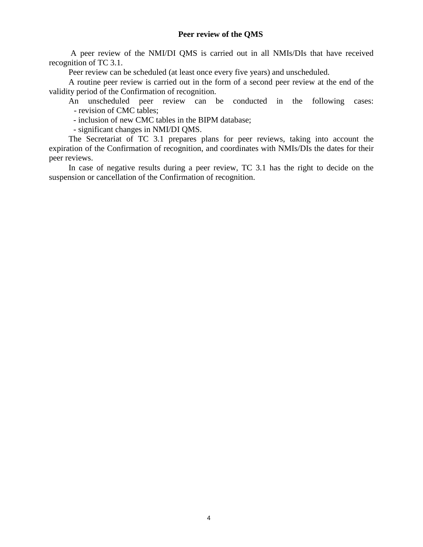A peer review of the NMI/DI QMS is carried out in all NMIs/DIs that have received recognition of TC 3.1.

Peer review can be scheduled (at least once every five years) and unscheduled.

A routine peer review is carried out in the form of a second peer review at the end of the validity period of the Confirmation of recognition.

An unscheduled peer review can be conducted in the following cases: - revision of CMC tables;

- inclusion of new CMC tables in the BIPM database;

- significant changes in NMI/DI QMS.

The Secretariat of TC 3.1 prepares plans for peer reviews, taking into account the expiration of the Confirmation of recognition, and coordinates with NMIs/DIs the dates for their peer reviews.

In case of negative results during a peer review, TC 3.1 has the right to decide on the suspension or cancellation of the Confirmation of recognition.